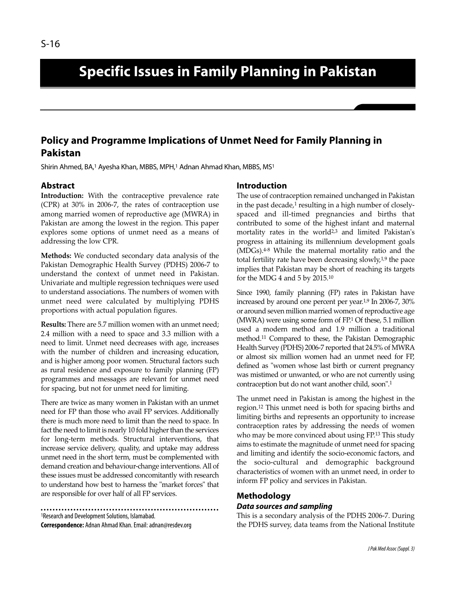# **Specific Issues in Family Planning in Pakistan**

## **Policy and Programme Implications of Unmet Need for Family Planning in Pakistan**

Shirin Ahmed, BA,<sup>1</sup> Ayesha Khan, MBBS, MPH,<sup>1</sup> Adnan Ahmad Khan, MBBS, MS<sup>1</sup>

### **Abstract**

**Introduction:** With the contraceptive prevalence rate (CPR) at 30% in 2006-7, the rates of contraception use among married women of reproductive age (MWRA) in Pakistan are among the lowest in the region. This paper explores some options of unmet need as a means of addressing the low CPR.

**Methods:** We conducted secondary data analysis of the Pakistan Demographic Health Survey (PDHS) 2006-7 to understand the context of unmet need in Pakistan. Univariate and multiple regression techniques were used to understand associations. The numbers of women with unmet need were calculated by multiplying PDHS proportions with actual population figures.

**Results:** There are 5.7 million women with an unmet need; 2.4 million with a need to space and 3.3 million with a need to limit. Unmet need decreases with age, increases with the number of children and increasing education, and is higher among poor women. Structural factors such as rural residence and exposure to family planning (FP) programmes and messages are relevant for unmet need for spacing, but not for unmet need for limiting.

There are twice as many women in Pakistan with an unmet need for FP than those who avail FP services. Additionally there is much more need to limit than the need to space. In fact the need to limit is nearly 10 fold higher than the services for long-term methods. Structural interventions, that increase service delivery, quality, and uptake may address unmet need in the short term, must be complemented with demand creation and behaviour-change interventions. All of these issues must be addressed concomitantly with research to understand how best to harness the "market forces" that are responsible for over half of all FP services.

<sup>1</sup>Research and Development Solutions, Islamabad. **Correspondence:** Adnan Ahmad Khan. Email: adnan@resdev.org

#### **Introduction**

The use of contraception remained unchanged in Pakistan in the past decade,<sup>1</sup> resulting in a high number of closelyspaced and ill-timed pregnancies and births that contributed to some of the highest infant and maternal mortality rates in the world<sup>2,3</sup> and limited Pakistan's progress in attaining its millennium development goals (MDGs).4-8 While the maternal mortality ratio and the total fertility rate have been decreasing slowly, $1,9$  the pace implies that Pakistan may be short of reaching its targets for the MDG 4 and 5 by 2015.<sup>10</sup>

Since 1990, family planning (FP) rates in Pakistan have increased by around one percent per year.<sup>1,9</sup> In 2006-7, 30% or around seven million married women of reproductive age (MWRA) were using some form of FP.<sup>1</sup> Of these, 5.1 million used a modern method and 1.9 million a traditional method.<sup>11</sup> Compared to these, the Pakistan Demographic Health Survey (PDHS) 2006-7 reported that 24.5% of MWRA or almost six million women had an unmet need for FP, defined as "women whose last birth or current pregnancy was mistimed or unwanted, or who are not currently using contraception but do not want another child, soon".<sup>1</sup>

The unmet need in Pakistan is among the highest in the region.<sup>12</sup> This unmet need is both for spacing births and limiting births and represents an opportunity to increase contraception rates by addressing the needs of women who may be more convinced about using FP.<sup>13</sup> This study aims to estimate the magnitude of unmet need for spacing and limiting and identify the socio-economic factors, and the socio-cultural and demographic background characteristics of women with an unmet need, in order to inform FP policy and services in Pakistan.

# **Methodology**

### **Data sources and sampling**

This is a secondary analysis of the PDHS 2006-7. During the PDHS survey, data teams from the National Institute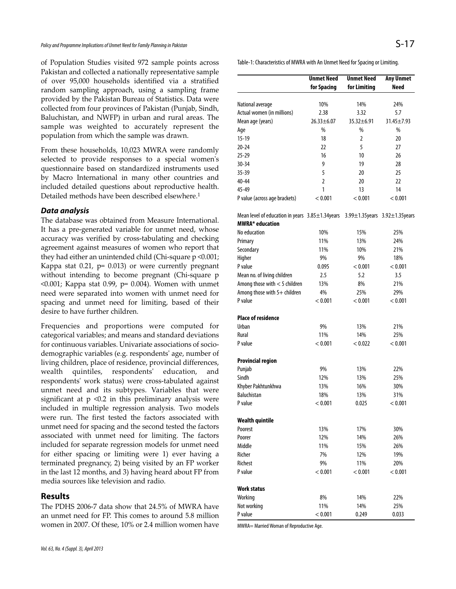of Population Studies visited 972 sample points across Pakistan and collected a nationally representative sample of over 95,000 households identified via a stratified random sampling approach, using a sampling frame provided by the Pakistan Bureau of Statistics. Data were collected from four provinces of Pakistan (Punjab, Sindh, Baluchistan, and NWFP) in urban and rural areas. The sample was weighted to accurately represent the population from which the sample was drawn.

From these households, 10,023 MWRA were randomly selected to provide responses to a special women's questionnaire based on standardized instruments used by Macro International in many other countries and included detailed questions about reproductive health. Detailed methods have been described elsewhere.<sup>1</sup>

#### **Data analysis**

The database was obtained from Measure International. It has a pre-generated variable for unmet need, whose accuracy was verified by cross-tabulating and checking agreement against measures of women who report that they had either an unintended child (Chi-square p <0.001; Kappa stat 0.21, p= 0.013) or were currently pregnant without intending to become pregnant (Chi-square p  $<$ 0.001; Kappa stat 0.99, p= 0.004). Women with unmet need were separated into women with unmet need for spacing and unmet need for limiting, based of their desire to have further children.

Frequencies and proportions were computed for categorical variables; and means and standard deviations for continuous variables. Univariate associations of sociodemographic variables (e.g. respondents' age, number of living children, place of residence, provincial differences, wealth quintiles, respondents' education, and respondents' work status) were cross-tabulated against unmet need and its subtypes. Variables that were significant at  $p \le 0.2$  in this preliminary analysis were included in multiple regression analysis. Two models were run. The first tested the factors associated with unmet need for spacing and the second tested the factors associated with unmet need for limiting. The factors included for separate regression models for unmet need for either spacing or limiting were 1) ever having a terminated pregnancy, 2) being visited by an FP worker in the last 12 months, and 3) having heard about FP from media sources like television and radio.

#### **Results**

The PDHS 2006-7 data show that 24.5% of MWRA have an unmet need for FP. This comes to around 5.8 million women in 2007. Of these, 10% or 2.4 million women have

|                                                                           | <b>Unmet Need</b> | <b>Unmet Need</b> | <b>Any Unmet</b>              |
|---------------------------------------------------------------------------|-------------------|-------------------|-------------------------------|
|                                                                           | for Spacing       | for Limiting      | <b>Need</b>                   |
|                                                                           |                   |                   |                               |
| National average                                                          | 10%               | 14%               | 24%                           |
| Actual women (in millions)                                                | 2.38              | 3.32              | 5.7                           |
| Mean age (years)                                                          | $26.33 \pm 6.07$  | 35.32±6.91        | 31.45±7.93                    |
| Age                                                                       | %                 | %                 | %                             |
| $15-19$                                                                   | 18                | 2                 | 20                            |
| 20-24                                                                     | 22                | 5                 | 27                            |
| $25 - 29$                                                                 | 16                | 10                | 26                            |
| 30-34                                                                     | 9                 | 19                | 28                            |
| 35-39                                                                     | 5                 | 20                | 25                            |
| 40-44                                                                     | 2                 | 20                | 22                            |
| 45-49                                                                     | 1                 | 13                | 14                            |
| P value (across age brackets)                                             | < 0.001           | < 0.001           | < 0.001                       |
| Mean level of education in years 3.85±1.34years<br><b>MWRA*</b> education |                   |                   | 3.99±1.35years 3.92±1.35years |
|                                                                           |                   |                   |                               |
| No education                                                              | 10%<br>11%        | 15%               | 25%                           |
| Primary                                                                   |                   | 13%               | 24%                           |
| Secondary                                                                 | 11%               | 10%               | 21%                           |
| Higher                                                                    | 9%                | 9%                | 18%                           |
| P value                                                                   | 0.095             | < 0.001           | < 0.001                       |
| Mean no. of living children                                               | 2.5               | 5.2               | 3.5                           |
| Among those with $<$ 5 children                                           | 13%               | 8%                | 21%                           |
| Among those with 5+ children                                              | 4%                | 25%               | 29%                           |
| P value                                                                   | < 0.001           | < 0.001           | < 0.001                       |
| <b>Place of residence</b>                                                 |                   |                   |                               |
| <b>Urban</b>                                                              | 9%                | 13%               | 21%                           |
| Rural                                                                     | 11%               | 14%               | 25%                           |
| P value                                                                   | < 0.001           | < 0.022           | < 0.001                       |
| <b>Provincial region</b>                                                  |                   |                   |                               |
| Punjab                                                                    | 9%                | 13%               | 22%                           |
| Sindh                                                                     | 12%               | 13%               | 25%                           |
| Khyber Pakhtunkhwa                                                        | 13%               | 16%               | 30%                           |
| <b>Baluchistan</b>                                                        | 18%               | 13%               | 31%                           |
| P value                                                                   | < 0.001           | 0.025             | < 0.001                       |
| <b>Wealth quintile</b>                                                    |                   |                   |                               |
| Poorest                                                                   | 13%               | 17%               | 30%                           |
| Poorer                                                                    | 12%               | 14%               | 26%                           |
| Middle                                                                    | 11%               | 15%               | 26%                           |
| Richer                                                                    | 7%                | 12%               | 19%                           |
| Richest                                                                   | 9%                | 11%               | 20%                           |
| P value                                                                   | < 0.001           | < 0.001           | < 0.001                       |
| Work status                                                               |                   |                   |                               |
| Working                                                                   | 8%                | 14%               | 22%                           |
| Not working                                                               | 11%               | 14%               | 25%                           |
| P value                                                                   | < 0.001           | 0.249             | 0.033                         |

MWRA= Married Woman of Reproductive Age.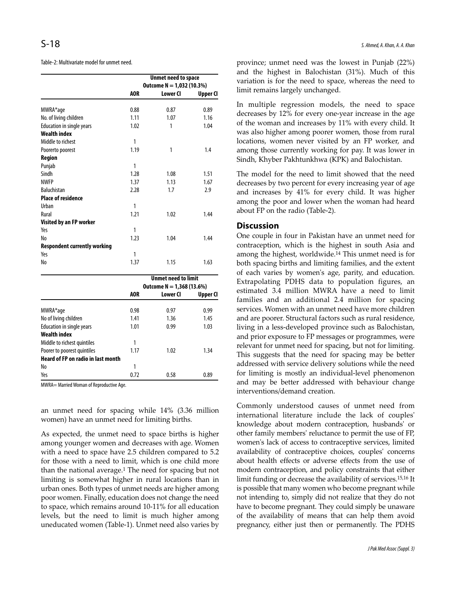Table-2: Multivariate model for unmet need.

|                                     | <b>Unmet need to space</b> |                            |          |  |
|-------------------------------------|----------------------------|----------------------------|----------|--|
|                                     | Outcome $N = 1,032(10.3%)$ |                            |          |  |
|                                     | AOR                        | Lower CI                   | Upper Cl |  |
| MWRA*age                            | 0.88                       | 0.87                       | 0.89     |  |
| No. of living children              | 1.11                       | 1.07                       | 1.16     |  |
| Education in single years           | 1.02                       | 1                          | 1.04     |  |
| <b>Wealth index</b>                 |                            |                            |          |  |
| Middle to richest                   | 1                          |                            |          |  |
| Poorerto poorest                    | 1.19                       | 1                          | 1.4      |  |
| Region                              |                            |                            |          |  |
| Punjab                              | 1                          |                            |          |  |
| Sindh                               | 1.28                       | 1.08                       | 1.51     |  |
| <b>NWFP</b>                         | 1.37                       | 1.13                       | 1.67     |  |
| <b>Baluchistan</b>                  | 2.28                       | 1.7                        | 2.9      |  |
| <b>Place of residence</b>           |                            |                            |          |  |
| Urban                               | 1                          |                            |          |  |
| Rural                               | 1.21                       | 1.02                       | 1.44     |  |
| Visited by an FP worker             |                            |                            |          |  |
| Yes                                 | 1                          |                            |          |  |
| No                                  | 1.23                       | 1.04                       | 1.44     |  |
| <b>Respondent currently working</b> |                            |                            |          |  |
| Yes                                 | 1                          |                            |          |  |
| No                                  | 1.37                       | 1.15                       | 1.63     |  |
|                                     |                            | <b>Unmet need to limit</b> |          |  |

|                                           | vnmet neeg to mmt |                            |          |  |  |
|-------------------------------------------|-------------------|----------------------------|----------|--|--|
|                                           |                   | Outcome $N = 1,368(13.6%)$ |          |  |  |
|                                           | AOR               | Lower CI                   | Upper Cl |  |  |
| MWRA*age                                  | 0.98              | 0.97                       | 0.99     |  |  |
| No of living children                     | 1.41              | 1.36                       | 1.45     |  |  |
| <b>Education in single years</b>          | 1.01              | 0.99                       | 1.03     |  |  |
| <b>Wealth index</b>                       |                   |                            |          |  |  |
| Middle to richest quintiles               |                   |                            |          |  |  |
| Poorer to poorest quintiles               | 1.17              | 1.02                       | 1.34     |  |  |
| <b>Heard of FP on radio in last month</b> |                   |                            |          |  |  |
| No                                        | 1                 |                            |          |  |  |
| Yes                                       | 0.72              | 0.58                       | 0.89     |  |  |

MWRA= Married Woman of Reproductive Age.

an unmet need for spacing while 14% (3.36 million women) have an unmet need for limiting births.

As expected, the unmet need to space births is higher among younger women and decreases with age. Women with a need to space have 2.5 children compared to 5.2 for those with a need to limit, which is one child more than the national average.<sup>1</sup> The need for spacing but not limiting is somewhat higher in rural locations than in urban ones. Both types of unmet needs are higher among poor women. Finally, education does not change the need to space, which remains around 10-11% for all education levels, but the need to limit is much higher among uneducated women (Table-1). Unmet need also varies by

province; unmet need was the lowest in Punjab (22%) and the highest in Balochistan (31%). Much of this variation is for the need to space, whereas the need to limit remains largely unchanged.

In multiple regression models, the need to space decreases by 12% for every one-year increase in the age of the woman and increases by 11% with every child. It was also higher among poorer women, those from rural locations, women never visited by an FP worker, and among those currently working for pay. It was lower in Sindh, Khyber Pakhtunkhwa (KPK) and Balochistan.

The model for the need to limit showed that the need decreases by two percent for every increasing year of age and increases by 41% for every child. It was higher among the poor and lower when the woman had heard about FP on the radio (Table-2).

#### **Discussion**

One couple in four in Pakistan have an unmet need for contraception, which is the highest in south Asia and among the highest, worldwide.<sup>14</sup> This unmet need is for both spacing births and limiting families, and the extent of each varies by women's age, parity, and education. Extrapolating PDHS data to population figures, an estimated 3.4 million MWRA have a need to limit families and an additional 2.4 million for spacing services. Women with an unmet need have more children and are poorer. Structural factors such as rural residence, living in a less-developed province such as Balochistan, and prior exposure to FP messages or programmes, were relevant for unmet need for spacing, but not for limiting. This suggests that the need for spacing may be better addressed with service delivery solutions while the need for limiting is mostly an individual-level phenomenon and may be better addressed with behaviour change interventions/demand creation.

Commonly understood causes of unmet need from international literature include the lack of couples' knowledge about modern contraception, husbands' or other family members' reluctance to permit the use of FP, women's lack of access to contraceptive services, limited availability of contraceptive choices, couples' concerns about health effects or adverse effects from the use of modern contraception, and policy constraints that either limit funding or decrease the availability of services.15,16 It is possible that many women who become pregnant while not intending to, simply did not realize that they do not have to become pregnant. They could simply be unaware of the availability of means that can help them avoid pregnancy, either just then or permanently. The PDHS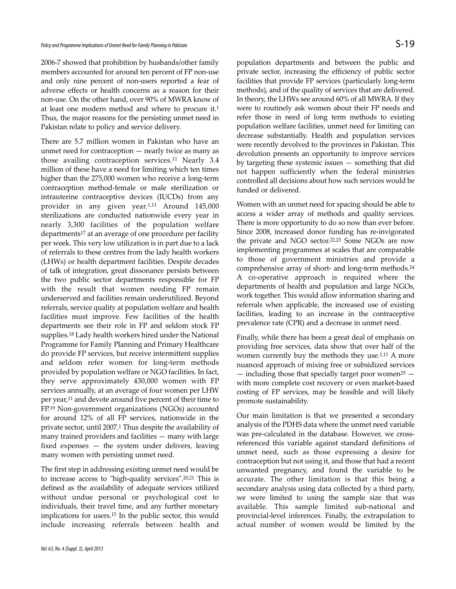2006-7 showed that prohibition by husbands/other family members accounted for around ten percent of FP non-use and only nine percent of non-users reported a fear of adverse effects or health concerns as a reason for their non-use. On the other hand, over 90% of MWRA know of at least one modern method and where to procure it.<sup>1</sup> Thus, the major reasons for the persisting unmet need in Pakistan relate to policy and service delivery.

There are 5.7 million women in Pakistan who have an unmet need for contraception — nearly twice as many as those availing contraception services.<sup>11</sup> Nearly 3.4 million of these have a need for limiting which ten times higher than the 275,000 women who receive a long-term contraception method-female or male sterilization or intrauterine contraceptive devices (IUCDs) from any provider in any given year.1,11 Around 145,000 sterilizations are conducted nationwide every year in nearly 3,300 facilities of the population welfare departments<sup>17</sup> at an average of one procedure per facility per week. This very low utilization is in part due to a lack of referrals to these centres from the lady health workers (LHWs) or health department facilities. Despite decades of talk of integration, great dissonance persists between the two public sector departments responsible for FP with the result that women needing FP remain underserved and facilities remain underutilized. Beyond referrals, service quality at population welfare and health facilities must improve. Few facilities of the health departments see their role in FP and seldom stock FP supplies.<sup>18</sup> Lady health workers hired under the National Programme for Family Planning and Primary Healthcare do provide FP services, but receive intermittent supplies and seldom refer women for long-term methods provided by population welfare or NGO facilities. In fact, they serve approximately 430,000 women with FP services annually, at an average of four women per LHW per year,<sup>11</sup> and devote around five percent of their time to FP.<sup>19</sup> Non-government organizations (NGOs) accounted for around 12% of all FP services, nationwide in the private sector, until 2007.<sup>1</sup> Thus despite the availability of many trained providers and facilities — many with large fixed expenses — the system under delivers, leaving many women with persisting unmet need.

The first step in addressing existing unmet need would be to increase access to "high-quality services".20,21 This is defined as the availability of adequate services utilized without undue personal or psychological cost to individuals, their travel time, and any further monetary implications for users.<sup>15</sup> In the public sector, this would include increasing referrals between health and

population departments and between the public and private sector, increasing the efficiency of public sector facilities that provide FP services (particularly long-term methods), and of the quality of services that are delivered. In theory, the LHWs see around 60% of all MWRA. If they were to routinely ask women about their FP needs and refer those in need of long term methods to existing population welfare facilities, unmet need for limiting can decrease substantially. Health and population services were recently devolved to the provinces in Pakistan. This devolution presents an opportunity to improve services by targeting these systemic issues — something that did not happen sufficiently when the federal ministries controlled all decisions about how such services would be funded or delivered.

Women with an unmet need for spacing should be able to access a wider array of methods and quality services. There is more opportunity to do so now than ever before. Since 2008, increased donor funding has re-invigorated the private and NGO sector.22.23 Some NGOs are now implementing programmes at scales that are comparable to those of government ministries and provide a comprehensive array of short- and long-term methods. 24 A co-operative approach is required where the departments of health and population and large NGOs, work together. This would allow information sharing and referrals when applicable, the increased use of existing facilities, leading to an increase in the contraceptive prevalence rate (CPR) and a decrease in unmet need.

Finally, while there has been a great deal of emphasis on providing free services, data show that over half of the women currently buy the methods they use.<sup>1,11</sup> A more nuanced approach of mixing free or subsidized services  $-$  including those that specially target poor women<sup>25</sup>  $$ with more complete cost recovery or even market-based costing of FP services, may be feasible and will likely promote sustainability.

Our main limitation is that we presented a secondary analysis of the PDHS data where the unmet need variable was pre-calculated in the database. However, we crossreferenced this variable against standard definitions of unmet need, such as those expressing a desire for contraception but not using it, and those that had a recent unwanted pregnancy, and found the variable to be accurate. The other limitation is that this being a secondary analysis using data collected by a third party, we were limited to using the sample size that was available. This sample limited sub-national and provincial-level inferences. Finally, the extrapolation to actual number of women would be limited by the